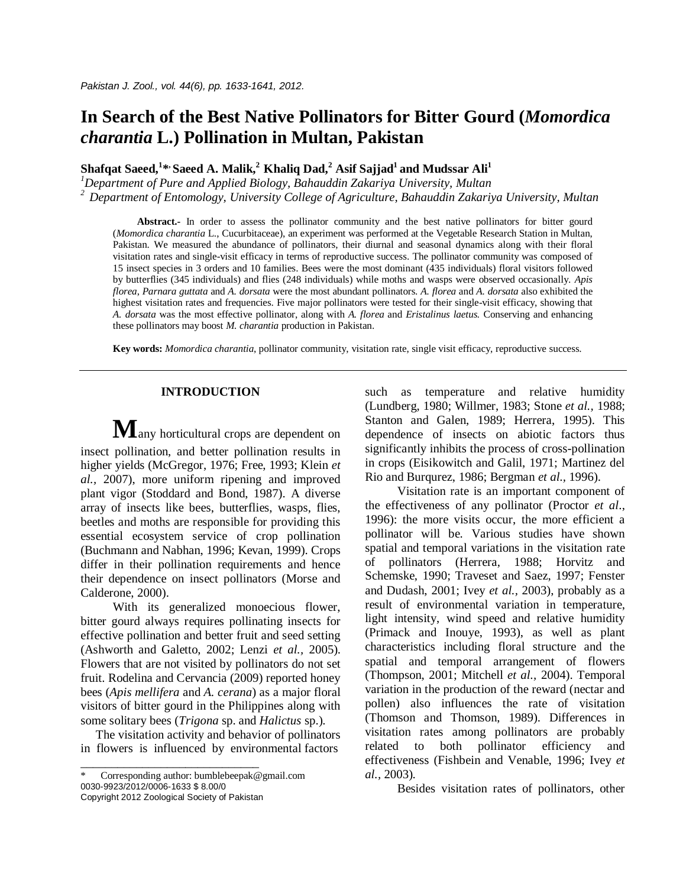# **In Search of the Best Native Pollinators for Bitter Gourd (***Momordica charantia* **L.) Pollination in Multan, Pakistan**

 $\boldsymbol{\mathrm{S}}$ hafqat Saeed, $^{1}_{\cdot\cdot\cdot}$ Saeed A. Malik, $^{2}$  Khaliq Dad, $^{2}$  Asif Sajjad $^{1}$  and Mudssar Ali $^{1}$ 

*<sup>1</sup>Department of Pure and Applied Biology, Bahauddin Zakariya University, Multan*

*<sup>2</sup> Department of Entomology, University College of Agriculture, Bahauddin Zakariya University, Multan*

Abstract.- In order to assess the pollinator community and the best native pollinators for bitter gourd (*Momordica charantia* L., Cucurbitaceae), an experiment was performed at the Vegetable Research Station in Multan, Pakistan. We measured the abundance of pollinators, their diurnal and seasonal dynamics along with their floral visitation rates and single-visit efficacy in terms of reproductive success. The pollinator community was composed of 15 insect species in 3 orders and 10 families. Bees were the most dominant (435 individuals) floral visitors followed by butterflies (345 individuals) and flies (248 individuals) while moths and wasps were observed occasionally. *Apis florea*, *Parnara guttata* and *A. dorsata* were the most abundant pollinators. *A. florea* and *A. dorsata* also exhibited the highest visitation rates and frequencies. Five major pollinators were tested for their single-visit efficacy, showing that *A. dorsata* was the most effective pollinator, along with *A. florea* and *Eristalinus laetus.* Conserving and enhancing these pollinators may boost *M. charantia* production in Pakistan.

**Key words:** *Momordica charantia*, pollinator community, visitation rate, single visit efficacy, reproductive success.

## **INTRODUCTION**

 $M$ any horticultural crops are dependent on insect pollination, and better pollination results in higher yields (McGregor, 1976; Free, 1993; Klein *et al.,* 2007), more uniform ripening and improved plant vigor (Stoddard and Bond, 1987). A diverse array of insects like bees, butterflies, wasps, flies, beetles and moths are responsible for providing this essential ecosystem service of crop pollination (Buchmann and Nabhan, 1996; Kevan, 1999). Crops differ in their pollination requirements and hence their dependence on insect pollinators (Morse and Calderone, 2000).

With its generalized monoecious flower, bitter gourd always requires pollinating insects for effective pollination and better fruit and seed setting (Ashworth and Galetto, 2002; Lenzi *et al.,* 2005). Flowers that are not visited by pollinators do not set fruit. Rodelina and Cervancia (2009) reported honey bees (*Apis mellifera* and *A. cerana*) as a major floral visitors of bitter gourd in the Philippines along with some solitary bees (*Trigona* sp. and *Halictus* sp.).

 The visitation activity and behavior of pollinators in flowers is influenced by environmental factors

\_\_\_\_\_\_\_\_\_\_\_\_\_\_\_\_\_\_\_\_\_\_\_\_\_\_\_\_\_

such as temperature and relative humidity (Lundberg, 1980; Willmer, 1983; Stone *et al.,* 1988; Stanton and Galen, 1989; Herrera, 1995). This dependence of insects on abiotic factors thus significantly inhibits the process of cross-pollination in crops (Eisikowitch and Galil, 1971; Martinez del Rio and Burqurez, 1986; Bergman *et al.,* 1996).

Visitation rate is an important component of the effectiveness of any pollinator (Proctor *et al*., 1996): the more visits occur, the more efficient a pollinator will be. Various studies have shown spatial and temporal variations in the visitation rate of pollinators (Herrera, 1988; Horvitz and Schemske, 1990; Traveset and Saez, 1997; Fenster and Dudash, 2001; Ivey *et al.,* 2003), probably as a result of environmental variation in temperature, light intensity, wind speed and relative humidity (Primack and Inouye, 1993), as well as plant characteristics including floral structure and the spatial and temporal arrangement of flowers (Thompson, 2001; Mitchell *et al.,* 2004). Temporal variation in the production of the reward (nectar and pollen) also influences the rate of visitation (Thomson and Thomson, 1989). Differences in visitation rates among pollinators are probably related to both pollinator efficiency and effectiveness (Fishbein and Venable, 1996; Ivey *et al.,* 2003).

Besides visitation rates of pollinators, other

Corresponding author: bumblebeepak@gmail.com 0030-9923/2012/0006-1633 \$ 8.00/0 Copyright 2012 Zoological Society of Pakistan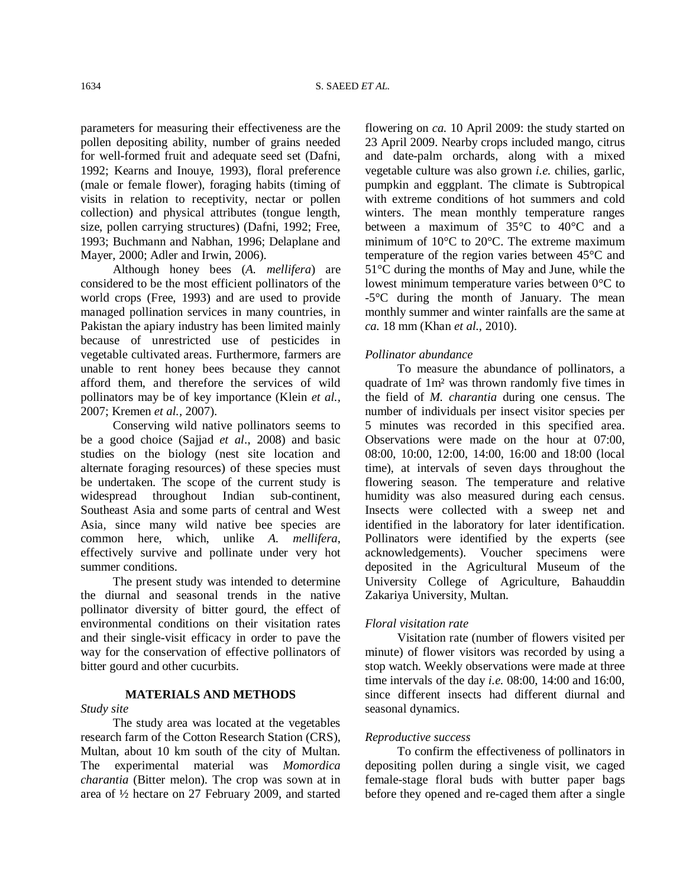parameters for measuring their effectiveness are the pollen depositing ability, number of grains needed for well-formed fruit and adequate seed set (Dafni, 1992; Kearns and Inouye, 1993), floral preference (male or female flower), foraging habits (timing of visits in relation to receptivity, nectar or pollen collection) and physical attributes (tongue length, size, pollen carrying structures) (Dafni, 1992; Free, 1993; Buchmann and Nabhan, 1996; Delaplane and Mayer, 2000; Adler and Irwin, 2006).

Although honey bees (*A. mellifera*) are considered to be the most efficient pollinators of the world crops (Free, 1993) and are used to provide managed pollination services in many countries, in Pakistan the apiary industry has been limited mainly because of unrestricted use of pesticides in vegetable cultivated areas. Furthermore, farmers are unable to rent honey bees because they cannot afford them, and therefore the services of wild pollinators may be of key importance (Klein *et al.,*  2007; Kremen *et al.,* 2007).

Conserving wild native pollinators seems to be a good choice (Sajjad *et al*., 2008) and basic studies on the biology (nest site location and alternate foraging resources) of these species must be undertaken. The scope of the current study is widespread throughout Indian sub-continent, Southeast Asia and some parts of central and West Asia, since many wild native bee species are common here, which, unlike *A. mellifera*, effectively survive and pollinate under very hot summer conditions.

The present study was intended to determine the diurnal and seasonal trends in the native pollinator diversity of bitter gourd, the effect of environmental conditions on their visitation rates and their single-visit efficacy in order to pave the way for the conservation of effective pollinators of bitter gourd and other cucurbits.

# **MATERIALS AND METHODS**

## *Study site*

The study area was located at the vegetables research farm of the Cotton Research Station (CRS), Multan, about 10 km south of the city of Multan. The experimental material was *Momordica charantia* (Bitter melon). The crop was sown at in area of ½ hectare on 27 February 2009, and started flowering on *ca.* 10 April 2009: the study started on 23 April 2009. Nearby crops included mango, citrus and date-palm orchards, along with a mixed vegetable culture was also grown *i.e.* chilies, garlic, pumpkin and eggplant. The climate is Subtropical with extreme conditions of hot summers and cold winters. The mean monthly temperature ranges between a maximum of 35°C to 40°C and a minimum of 10°C to 20°C. The extreme maximum temperature of the region varies between 45°C and 51°C during the months of May and June, while the lowest minimum temperature varies between 0°C to -5°C during the month of January. The mean monthly summer and winter rainfalls are the same at *ca.* 18 mm (Khan *et al.,* 2010).

## *Pollinator abundance*

To measure the abundance of pollinators, a quadrate of 1m² was thrown randomly five times in the field of *M. charantia* during one census. The number of individuals per insect visitor species per 5 minutes was recorded in this specified area. Observations were made on the hour at 07:00, 08:00, 10:00, 12:00, 14:00, 16:00 and 18:00 (local time), at intervals of seven days throughout the flowering season. The temperature and relative humidity was also measured during each census. Insects were collected with a sweep net and identified in the laboratory for later identification. Pollinators were identified by the experts (see acknowledgements). Voucher specimens were deposited in the Agricultural Museum of the University College of Agriculture, Bahauddin Zakariya University, Multan.

## *Floral visitation rate*

Visitation rate (number of flowers visited per minute) of flower visitors was recorded by using a stop watch. Weekly observations were made at three time intervals of the day *i.e.* 08:00, 14:00 and 16:00, since different insects had different diurnal and seasonal dynamics.

## *Reproductive success*

To confirm the effectiveness of pollinators in depositing pollen during a single visit, we caged female-stage floral buds with butter paper bags before they opened and re-caged them after a single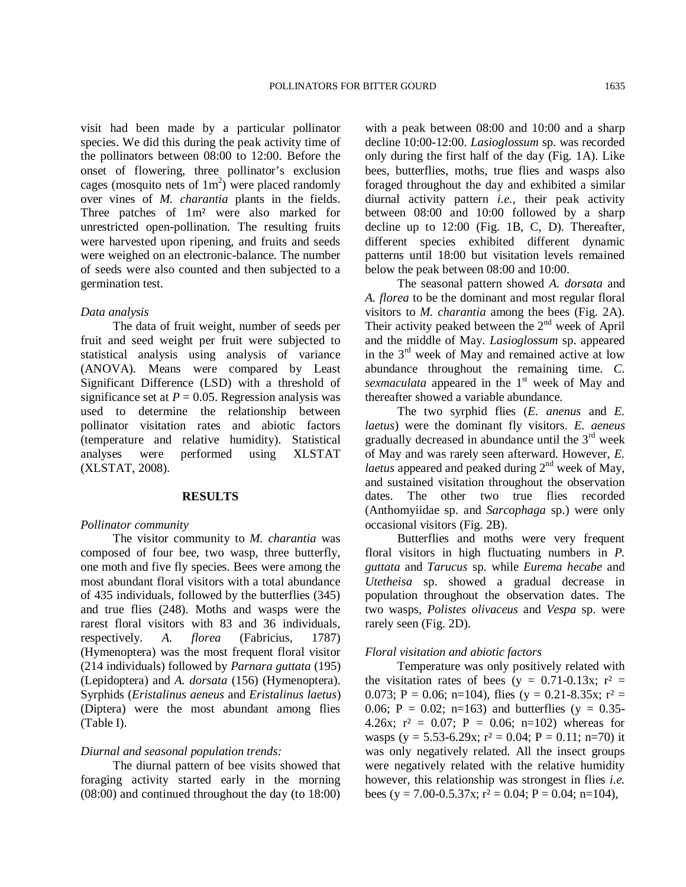visit had been made by a particular pollinator species. We did this during the peak activity time of the pollinators between 08:00 to 12:00. Before the onset of flowering, three pollinator's exclusion cages (mosquito nets of  $1m^2$ ) were placed randomly over vines of *M. charantia* plants in the fields. Three patches of 1m² were also marked for unrestricted open-pollination. The resulting fruits were harvested upon ripening, and fruits and seeds were weighed on an electronic-balance. The number of seeds were also counted and then subjected to a germination test.

#### *Data analysis*

The data of fruit weight, number of seeds per fruit and seed weight per fruit were subjected to statistical analysis using analysis of variance (ANOVA). Means were compared by Least Significant Difference (LSD) with a threshold of significance set at  $P = 0.05$ . Regression analysis was used to determine the relationship between pollinator visitation rates and abiotic factors (temperature and relative humidity). Statistical analyses were performed using XLSTAT (XLSTAT, 2008).

#### **RESULTS**

#### *Pollinator community*

The visitor community to *M. charantia* was composed of four bee, two wasp, three butterfly, one moth and five fly species. Bees were among the most abundant floral visitors with a total abundance of 435 individuals, followed by the butterflies (345) and true flies (248). Moths and wasps were the rarest floral visitors with 83 and 36 individuals, respectively. *A. florea* (Fabricius, 1787) (Hymenoptera) was the most frequent floral visitor (214 individuals) followed by *Parnara guttata* (195) (Lepidoptera) and *A. dorsata* (156) (Hymenoptera). Syrphids (*Eristalinus aeneus* and *Eristalinus laetus*) (Diptera) were the most abundant among flies (Table I).

## *Diurnal and seasonal population trends:*

The diurnal pattern of bee visits showed that foraging activity started early in the morning (08:00) and continued throughout the day (to 18:00) with a peak between 08:00 and 10:00 and a sharp decline 10:00-12:00. *Lasioglossum* sp. was recorded only during the first half of the day (Fig. 1A). Like bees, butterflies, moths, true flies and wasps also foraged throughout the day and exhibited a similar diurnal activity pattern *i.e.,* their peak activity between 08:00 and 10:00 followed by a sharp decline up to 12:00 (Fig. 1B, C, D). Thereafter, different species exhibited different dynamic patterns until 18:00 but visitation levels remained below the peak between 08:00 and 10:00.

The seasonal pattern showed *A. dorsata* and *A. florea* to be the dominant and most regular floral visitors to *M. charantia* among the bees (Fig. 2A). Their activity peaked between the  $2<sup>nd</sup>$  week of April and the middle of May. *Lasioglossum* sp. appeared in the 3rd week of May and remained active at low abundance throughout the remaining time. *C. sexmaculata* appeared in the 1<sup>st</sup> week of May and thereafter showed a variable abundance.

The two syrphid flies (*E. anenus* and *E. laetus*) were the dominant fly visitors. *E. aeneus* gradually decreased in abundance until the  $3<sup>rd</sup>$  week of May and was rarely seen afterward. However, *E. laetus* appeared and peaked during 2<sup>nd</sup> week of May, and sustained visitation throughout the observation dates. The other two true flies recorded (Anthomyiidae sp. and *Sarcophaga* sp.) were only occasional visitors (Fig. 2B).

Butterflies and moths were very frequent floral visitors in high fluctuating numbers in *P. guttata* and *Tarucus* sp. while *Eurema hecabe* and *Utetheisa* sp. showed a gradual decrease in population throughout the observation dates. The two wasps, *Polistes olivaceus* and *Vespa* sp. were rarely seen (Fig. 2D).

## *Floral visitation and abiotic factors*

Temperature was only positively related with the visitation rates of bees (y =  $0.71$ - $0.13x$ ; r<sup>2</sup> = 0.073; P = 0.06; n=104), flies (y = 0.21-8.35x; r<sup>2</sup> = 0.06;  $P = 0.02$ ; n=163) and butterflies (y = 0.35-4.26x;  $r^2 = 0.07$ ;  $P = 0.06$ ;  $n=102$ ) whereas for wasps (y = 5.53-6.29x;  $r^2$  = 0.04; P = 0.11; n=70) it was only negatively related. All the insect groups were negatively related with the relative humidity however, this relationship was strongest in flies *i.e.* bees (y = 7.00-0.5.37x;  $r^2 = 0.04$ ; P = 0.04; n=104),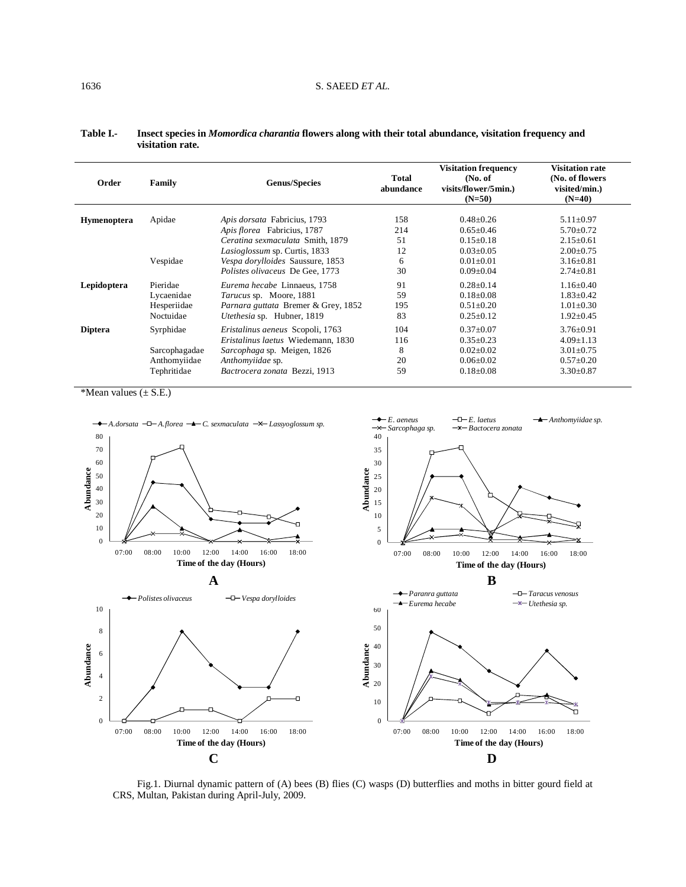| Order              | Family                                                    | <b>Genus/Species</b>                                                                                                                                       | Total<br>abundance          | <b>Visitation frequency</b><br>(No. of)<br>visits/flower/5min.)<br>$(N=50)$           | <b>Visitation rate</b><br>(No. of flowers<br>visited/min.)<br>$(N=40)$                      |
|--------------------|-----------------------------------------------------------|------------------------------------------------------------------------------------------------------------------------------------------------------------|-----------------------------|---------------------------------------------------------------------------------------|---------------------------------------------------------------------------------------------|
| <b>Hymenoptera</b> | Apidae                                                    | <i>Apis dorsata Fabricius, 1793</i><br>Apis florea Fabricius, 1787                                                                                         | 158<br>214                  | $0.48 \pm 0.26$<br>$0.65 \pm 0.46$                                                    | $5.11 \pm 0.97$<br>$5.70 \pm 0.72$                                                          |
|                    | Vespidae                                                  | Ceratina sexmaculata Smith, 1879<br>Lasioglossum sp. Curtis, 1833<br>Vespa dorylloides Saussure, 1853<br>Polistes olivaceus De Gee, 1773                   | 51<br>12<br>6<br>30         | $0.15 \pm 0.18$<br>$0.03 + 0.05$<br>$0.01 + 0.01$<br>$0.09 + 0.04$                    | $2.15 \pm 0.61$<br>$2.00+0.75$<br>$3.16 \pm 0.81$<br>$2.74 \pm 0.81$                        |
| Lepidoptera        | Pieridae<br>Lycaenidae<br>Hesperiidae<br>Noctuidae        | Eurema hecabe Linnaeus, 1758<br>Tarucus sp. Moore, 1881<br>Parnara guttata Bremer & Grey, 1852<br>Utethesia sp. Hubner, 1819                               | 91<br>59<br>195<br>83       | $0.28 + 0.14$<br>$0.18 + 0.08$<br>$0.51 \pm 0.20$<br>$0.25 \pm 0.12$                  | $1.16 \pm 0.40$<br>$1.83 + 0.42$<br>$1.01 \pm 0.30$<br>$1.92 \pm 0.45$                      |
| <b>Diptera</b>     | Syrphidae<br>Sarcophagadae<br>Anthomyiidae<br>Tephritidae | Eristalinus aeneus Scopoli, 1763<br>Eristalinus laetus Wiedemann, 1830<br>Sarcophaga sp. Meigen, 1826<br>Anthomyiidae sp.<br>Bactrocera zonata Bezzi, 1913 | 104<br>116<br>8<br>20<br>59 | $0.37 + 0.07$<br>$0.35+0.23$<br>$0.02 \pm 0.02$<br>$0.06 \pm 0.02$<br>$0.18 \pm 0.08$ | $3.76 \pm 0.91$<br>$4.09 \pm 1.13$<br>$3.01 \pm 0.75$<br>$0.57 \pm 0.20$<br>$3.30 \pm 0.87$ |

#### **Table I.- Insect species in** *Momordica charantia* **flowers along with their total abundance, visitation frequency and visitation rate.**

\*Mean values (± S.E.)



Fig.1. Diurnal dynamic pattern of (A) bees (B) flies (C) wasps (D) butterflies and moths in bitter gourd field at CRS, Multan, Pakistan during April-July, 2009.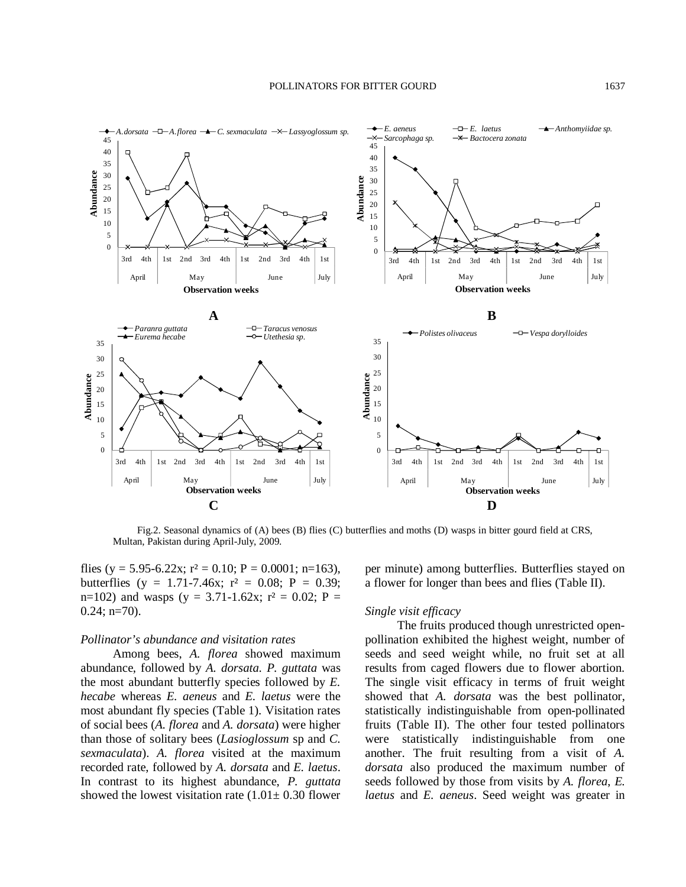

Fig.2. Seasonal dynamics of (A) bees (B) flies (C) butterflies and moths (D) wasps in bitter gourd field at CRS, Multan, Pakistan during April-July, 2009.

flies (y = 5.95-6.22x;  $r^2$  = 0.10; P = 0.0001; n=163), butterflies (y = 1.71-7.46x;  $r^2 = 0.08$ ; P = 0.39; n=102) and wasps (y = 3.71-1.62x;  $r^2 = 0.02$ ; P =  $0.24$ ; n=70).

## *Pollinator's abundance and visitation rates*

Among bees, *A. florea* showed maximum abundance, followed by *A. dorsata. P. guttata* was the most abundant butterfly species followed by *E. hecabe* whereas *E. aeneus* and *E. laetus* were the most abundant fly species (Table 1). Visitation rates of social bees (*A. florea* and *A. dorsata*) were higher than those of solitary bees (*Lasioglossum* sp and *C. sexmaculata*). *A. florea* visited at the maximum recorded rate, followed by *A. dorsata* and *E. laetus*. In contrast to its highest abundance, *P. guttata* showed the lowest visitation rate  $(1.01 \pm 0.30)$  flower

per minute) among butterflies. Butterflies stayed on a flower for longer than bees and flies (Table II).

#### *Single visit efficacy*

The fruits produced though unrestricted openpollination exhibited the highest weight, number of seeds and seed weight while, no fruit set at all results from caged flowers due to flower abortion. The single visit efficacy in terms of fruit weight showed that *A. dorsata* was the best pollinator, statistically indistinguishable from open-pollinated fruits (Table II). The other four tested pollinators were statistically indistinguishable from one another. The fruit resulting from a visit of *A. dorsata* also produced the maximum number of seeds followed by those from visits by *A. florea*, *E. laetus* and *E. aeneus*. Seed weight was greater in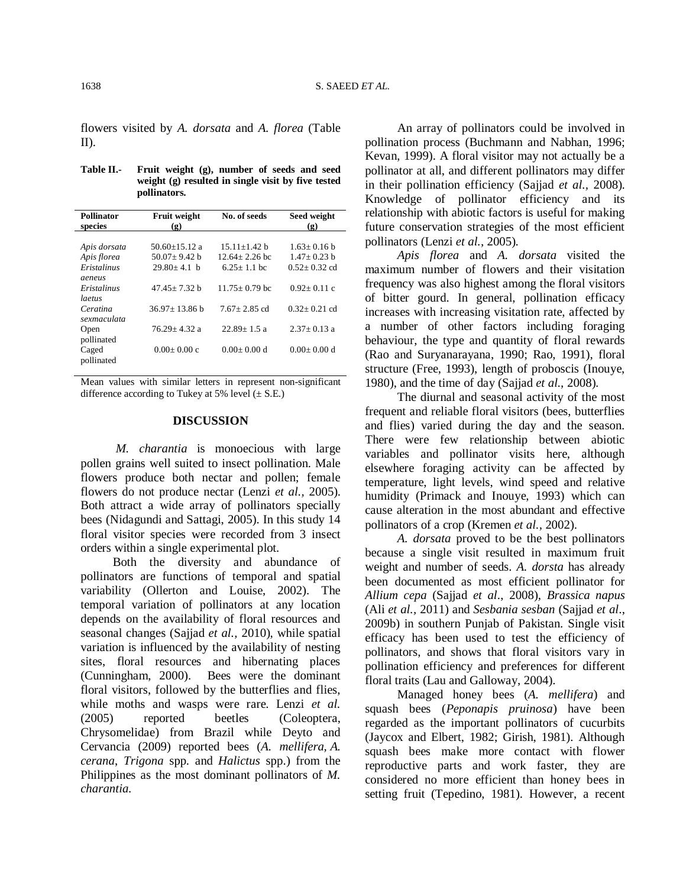flowers visited by *A. dorsata* and *A. florea* (Table II).

| Table II.- | Fruit weight (g), number of seeds and seed           |
|------------|------------------------------------------------------|
|            | weight $(g)$ resulted in single visit by five tested |
|            | pollinators.                                         |

| <b>Pollinator</b><br>species                         | <b>Fruit weight</b><br>$\left( \mathbf{g} \right)$       | No. of seeds                                             | Seed weight<br>$\left( \mathbf{g} \right)$           |
|------------------------------------------------------|----------------------------------------------------------|----------------------------------------------------------|------------------------------------------------------|
| Apis dorsata<br>Apis florea<br>Eristalinus<br>aeneus | $50.60 + 15.12$ a<br>$50.07 + 9.42$ b<br>$29.80 + 4.1 h$ | $15.11 + 1.42$ b<br>$12.64 + 2.26$ bc<br>$6.25 + 1.1$ bc | $1.63 + 0.16$ b<br>$1.47+0.23$ b<br>$0.52 + 0.32$ cd |
| Eristalinus<br>laetus                                | $47.45 + 7.32 h$                                         | $11.75 + 0.79$ bc                                        | $0.92 + 0.11$ c                                      |
| Ceratina<br>sexmaculata                              | $36.97 + 13.86$ b                                        | $7.67 + 2.85$ cd                                         | $0.32 + 0.21$ cd                                     |
| Open<br>pollinated                                   | $76.29 \pm 4.32$ a                                       | $22.89 + 1.5$ a                                          | $2.37+0.13$ a                                        |
| Caged<br>pollinated                                  | $0.00+0.00c$                                             | $0.00+0.00 d$                                            | $0.00+0.00 d$                                        |

Mean values with similar letters in represent non-significant difference according to Tukey at 5% level  $(\pm$  S.E.)

## **DISCUSSION**

 *M. charantia* is monoecious with large pollen grains well suited to insect pollination. Male flowers produce both nectar and pollen; female flowers do not produce nectar (Lenzi *et al.,* 2005). Both attract a wide array of pollinators specially bees (Nidagundi and Sattagi, 2005). In this study 14 floral visitor species were recorded from 3 insect orders within a single experimental plot.

Both the diversity and abundance of pollinators are functions of temporal and spatial variability (Ollerton and Louise, 2002). The temporal variation of pollinators at any location depends on the availability of floral resources and seasonal changes (Sajjad *et al.,* 2010), while spatial variation is influenced by the availability of nesting sites, floral resources and hibernating places (Cunningham, 2000). Bees were the dominant floral visitors, followed by the butterflies and flies, while moths and wasps were rare. Lenzi *et al.* (2005) reported beetles (Coleoptera, Chrysomelidae) from Brazil while Deyto and Cervancia (2009) reported bees (*A. mellifera, A. cerana*, *Trigona* spp. and *Halictus* spp.) from the Philippines as the most dominant pollinators of *M. charantia.*

An array of pollinators could be involved in pollination process (Buchmann and Nabhan, 1996; Kevan, 1999). A floral visitor may not actually be a pollinator at all, and different pollinators may differ in their pollination efficiency (Sajjad *et al.,* 2008). Knowledge of pollinator efficiency and its relationship with abiotic factors is useful for making future conservation strategies of the most efficient pollinators (Lenzi *et al.,* 2005).

*Apis florea* and *A. dorsata* visited the maximum number of flowers and their visitation frequency was also highest among the floral visitors of bitter gourd. In general, pollination efficacy increases with increasing visitation rate, affected by a number of other factors including foraging behaviour, the type and quantity of floral rewards (Rao and Suryanarayana, 1990; Rao, 1991), floral structure (Free, 1993), length of proboscis (Inouye, 1980), and the time of day (Sajjad *et al.,* 2008).

The diurnal and seasonal activity of the most frequent and reliable floral visitors (bees, butterflies and flies) varied during the day and the season. There were few relationship between abiotic variables and pollinator visits here, although elsewhere foraging activity can be affected by temperature, light levels, wind speed and relative humidity (Primack and Inouye, 1993) which can cause alteration in the most abundant and effective pollinators of a crop (Kremen *et al.,* 2002).

*A. dorsata* proved to be the best pollinators because a single visit resulted in maximum fruit weight and number of seeds. *A. dorsta* has already been documented as most efficient pollinator for *Allium cepa* (Sajjad *et al*., 2008), *Brassica napus* (Ali *et al.,* 2011) and *Sesbania sesban* (Sajjad *et al*., 2009b) in southern Punjab of Pakistan. Single visit efficacy has been used to test the efficiency of pollinators, and shows that floral visitors vary in pollination efficiency and preferences for different floral traits (Lau and Galloway, 2004).

Managed honey bees (*A. mellifera*) and squash bees (*Peponapis pruinosa*) have been regarded as the important pollinators of cucurbits (Jaycox and Elbert, 1982; Girish, 1981). Although squash bees make more contact with flower reproductive parts and work faster, they are considered no more efficient than honey bees in setting fruit (Tepedino, 1981). However, a recent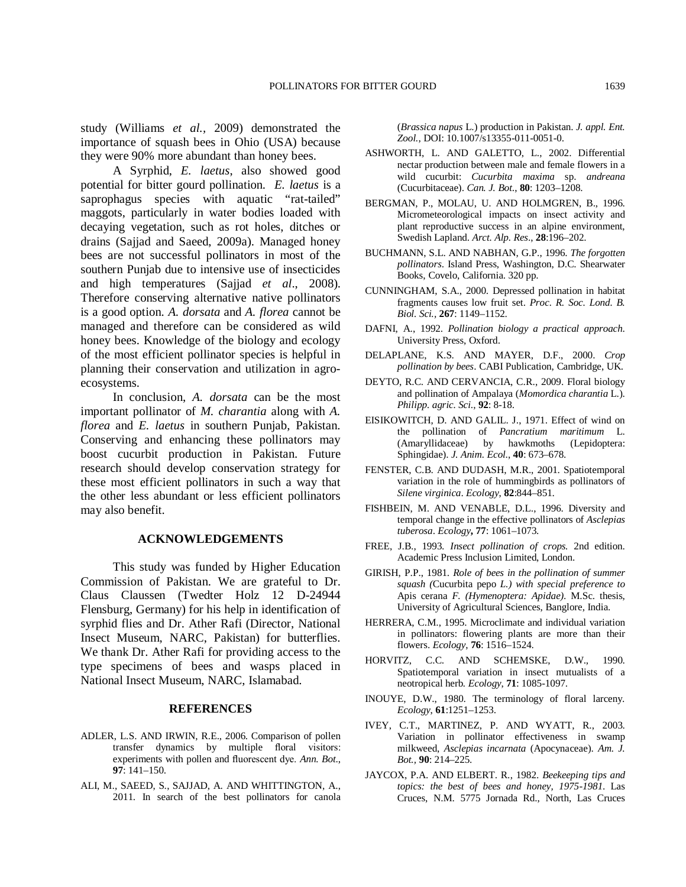study (Williams *et al.,* 2009) demonstrated the importance of squash bees in Ohio (USA) because they were 90% more abundant than honey bees.

A Syrphid, *E. laetus*, also showed good potential for bitter gourd pollination. *E. laetus* is a saprophagus species with aquatic "rat-tailed" maggots, particularly in water bodies loaded with decaying vegetation, such as rot holes, ditches or drains (Sajjad and Saeed, 2009a). Managed honey bees are not successful pollinators in most of the southern Punjab due to intensive use of insecticides and high temperatures (Sajjad *et al*., 2008). Therefore conserving alternative native pollinators is a good option. *A. dorsata* and *A. florea* cannot be managed and therefore can be considered as wild honey bees. Knowledge of the biology and ecology of the most efficient pollinator species is helpful in planning their conservation and utilization in agroecosystems.

In conclusion, *A. dorsata* can be the most important pollinator of *M. charantia* along with *A. florea* and *E. laetus* in southern Punjab, Pakistan. Conserving and enhancing these pollinators may boost cucurbit production in Pakistan. Future research should develop conservation strategy for these most efficient pollinators in such a way that the other less abundant or less efficient pollinators may also benefit.

## **ACKNOWLEDGEMENTS**

This study was funded by Higher Education Commission of Pakistan. We are grateful to Dr. Claus Claussen (Twedter Holz 12 D-24944 Flensburg, Germany) for his help in identification of syrphid flies and Dr. Ather Rafi (Director, National Insect Museum, NARC, Pakistan) for butterflies. We thank Dr. Ather Rafi for providing access to the type specimens of bees and wasps placed in National Insect Museum, NARC, Islamabad.

## **REFERENCES**

- ADLER, L.S. AND IRWIN, R.E., 2006. Comparison of pollen transfer dynamics by multiple floral visitors: experiments with pollen and fluorescent dye. *Ann. Bot*., **97**: 141–150.
- ALI, M., SAEED, S., SAJJAD, A. AND WHITTINGTON, A., 2011. In search of the best pollinators for canola

(*Brassica napus* L.) production in Pakistan. *J. appl. Ent. Zool.*, DOI: 10.1007/s13355-011-0051-0.

- ASHWORTH, L. AND GALETTO, L., 2002. Differential nectar production between male and female flowers in a wild cucurbit: *Cucurbita maxima* sp. *andreana* (Cucurbitaceae). *Can. J. Bot*., **80**: 1203–1208.
- BERGMAN, P., MOLAU, U. AND HOLMGREN, B., 1996. Micrometeorological impacts on insect activity and plant reproductive success in an alpine environment, Swedish Lapland. *Arct. Alp. Res*., **28**:196–202.
- BUCHMANN, S.L. AND NABHAN, G.P., 1996. *The forgotten pollinators*. Island Press, Washington, D.C. Shearwater Books, Covelo, California. 320 pp.
- CUNNINGHAM, S.A., 2000. Depressed pollination in habitat fragments causes low fruit set. *Proc. R. Soc. Lond. B. Biol. Sci.,* **267**: 1149–1152.
- DAFNI, A., 1992. *Pollination biology a practical approach*. University Press, Oxford.
- DELAPLANE, K.S. AND MAYER, D.F., 2000. *Crop pollination by bees*. CABI Publication, Cambridge, UK.
- DEYTO, R.C. AND CERVANCIA, C.R., 2009. Floral biology and pollination of Ampalaya (*Momordica charantia* L.). *Philipp. agric. Sci*., **92**: 8-18.
- EISIKOWITCH, D. AND GALIL. J., 1971. Effect of wind on the pollination of *Pancratium maritimum* L. (Amaryllidaceae) by hawkmoths (Lepidoptera: Sphingidae). *J. Anim. Ecol*., **40**: 673–678.
- FENSTER, C.B. AND DUDASH, M.R., 2001. Spatiotemporal variation in the role of hummingbirds as pollinators of *Silene virginica*. *Ecology*, **82**:844–851.
- FISHBEIN, M. AND VENABLE, D.L., 1996. Diversity and temporal change in the effective pollinators of *Asclepias tuberosa*. *Ecology***, 77**: 1061–1073.
- FREE, J.B., 1993. *Insect pollination of crops.* 2nd edition. Academic Press Inclusion Limited, London.
- GIRISH, P.P., 1981. *Role of bees in the pollination of summer squash (*Cucurbita pepo *L.) with special preference to*  Apis cerana *F. (Hymenoptera: Apidae)*. M.Sc. thesis, University of Agricultural Sciences, Banglore, India.
- HERRERA, C.M., 1995. Microclimate and individual variation in pollinators: flowering plants are more than their flowers. *Ecology*, **76**: 1516–1524.
- HORVITZ, C.C. AND SCHEMSKE, D.W., 1990. Spatiotemporal variation in insect mutualists of a neotropical herb*. Ecology*, **71**: 1085-1097.
- INOUYE, D.W., 1980. The terminology of floral larceny. *Ecology*, **61**:1251–1253.
- IVEY, C.T., MARTINEZ, P. AND WYATT, R., 2003. Variation in pollinator effectiveness in swamp milkweed, *Asclepias incarnata* (Apocynaceae). *Am. J. Bot.,* **90**: 214–225.
- JAYCOX, P.A. AND ELBERT. R., 1982. *Beekeeping tips and topics: the best of bees and honey, 1975-1981*. Las Cruces, N.M. 5775 Jornada Rd., North, Las Cruces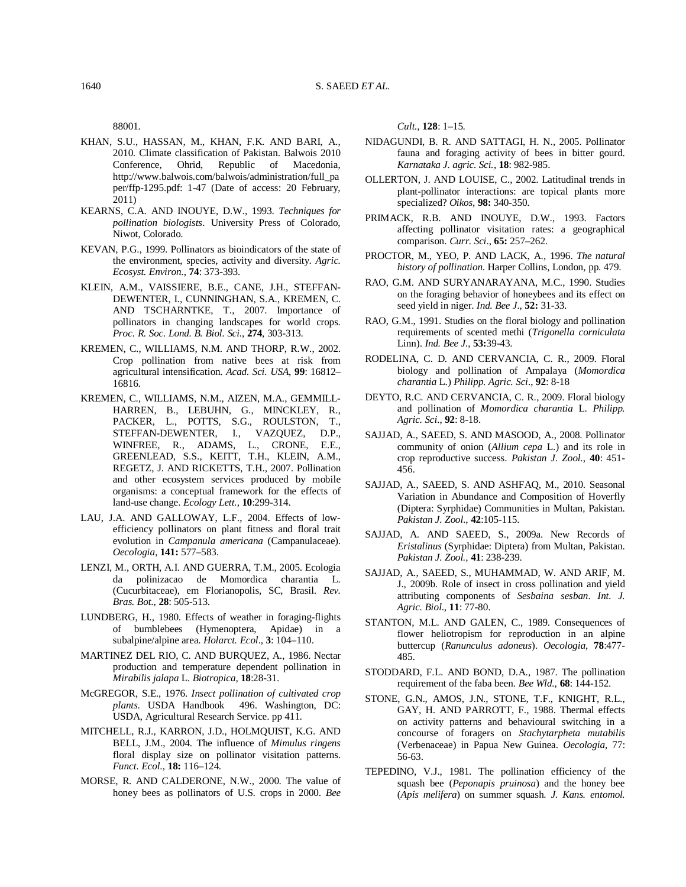88001.

- KHAN, S.U., HASSAN, M., KHAN, F.K. AND BARI, A., 2010. Climate classification of Pakistan. Balwois 2010 Conference, Ohrid, Republic of Macedonia, http://www.balwois.com/balwois/administration/full\_pa per/ffp-1295.pdf: 1-47 (Date of access: 20 February, 2011)
- KEARNS, C.A. AND INOUYE, D.W., 1993. *Techniques for pollination biologists*. University Press of Colorado, Niwot, Colorado.
- KEVAN, P.G., 1999. Pollinators as bioindicators of the state of the environment, species, activity and diversity. *Agric. Ecosyst. Environ*., **74**: 373-393.
- KLEIN, A.M., VAISSIERE, B.E., CANE, J.H., STEFFAN-DEWENTER, I., CUNNINGHAN, S.A., KREMEN, C. AND TSCHARNTKE, T., 2007. Importance of pollinators in changing landscapes for world crops. *Proc. R. Soc. Lond. B. Biol. Sci.,* **274**, 303-313.
- KREMEN, C., WILLIAMS, N.M. AND THORP, R.W., 2002. Crop pollination from native bees at risk from agricultural intensification. *Acad. Sci. USA*, **99**: 16812– 16816.
- KREMEN, C., WILLIAMS, N.M., AIZEN, M.A., GEMMILL-HARREN, B., LEBUHN, G., MINCKLEY, R., PACKER, L., POTTS, S.G., ROULSTON, T., STEFFAN-DEWENTER, I., VAZQUEZ, D.P., WINFREE, R., ADAMS, L., CRONE, E.E., GREENLEAD, S.S., KEITT, T.H., KLEIN, A.M., REGETZ, J. AND RICKETTS, T.H., 2007. Pollination and other ecosystem services produced by mobile organisms: a conceptual framework for the effects of land-use change. *Ecology Lett.,* **10**:299-314.
- LAU, J.A. AND GALLOWAY, L.F., 2004. Effects of lowefficiency pollinators on plant fitness and floral trait evolution in *Campanula americana* (Campanulaceae). *Oecologia*, **141:** 577–583.
- LENZI, M., ORTH, A.I. AND GUERRA, T.M., 2005. Ecologia da polinizacao de Momordica charantia L. (Cucurbitaceae), em Florianopolis, SC, Brasil. *Rev. Bras. Bot*., **28**: 505-513.
- LUNDBERG, H., 1980. Effects of weather in foraging-flights of bumblebees (Hymenoptera, Apidae) in a subalpine/alpine area. *Holarct. Ecol*., **3**: 104–110.
- MARTINEZ DEL RIO, C. AND BURQUEZ, A., 1986. Nectar production and temperature dependent pollination in *Mirabilis jalapa* L. *Biotropica*, **18**:28-31.
- McGREGOR, S.E., 1976. *Insect pollination of cultivated crop plants*. USDA Handbook 496. Washington, DC: USDA, Agricultural Research Service. pp 411.
- MITCHELL, R.J., KARRON, J.D., HOLMQUIST, K.G. AND BELL, J.M., 2004. The influence of *Mimulus ringens* floral display size on pollinator visitation patterns. *Funct. Ecol*., **18:** 116–124.
- MORSE, R. AND CALDERONE, N.W., 2000. The value of honey bees as pollinators of U.S. crops in 2000. *Bee*

*Cult.*, **128**: 1–15.

- NIDAGUNDI, B. R. AND SATTAGI, H. N., 2005. Pollinator fauna and foraging activity of bees in bitter gourd. *Karnataka J. agric. Sci.*, **18**: 982-985.
- OLLERTON, J. AND LOUISE, C., 2002. Latitudinal trends in plant-pollinator interactions: are topical plants more specialized? *Oikos*, **98:** 340-350.
- PRIMACK, R.B. AND INOUYE, D.W., 1993. Factors affecting pollinator visitation rates: a geographical comparison. *Curr. Sci*., **65:** 257–262.
- PROCTOR, M., YEO, P. AND LACK, A., 1996. *The natural history of pollination*. Harper Collins, London, pp. 479.
- RAO, G.M. AND SURYANARAYANA, M.C., 1990. Studies on the foraging behavior of honeybees and its effect on seed yield in niger. *Ind. Bee J*., **52:** 31-33.
- RAO, G.M., 1991. Studies on the floral biology and pollination requirements of scented methi (*Trigonella corniculata*  Linn). *Ind. Bee J*., **53:**39-43.
- RODELINA, C. D. AND CERVANCIA, C. R., 2009. Floral biology and pollination of Ampalaya (*Momordica charantia* L.) *Philipp. Agric. Sci*., **92**: 8-18
- DEYTO, R.C. AND CERVANCIA, C. R., 2009. Floral biology and pollination of *Momordica charantia* L. *Philipp. Agric. Sci*., **92**: 8-18.
- SAJJAD, A., SAEED, S. AND MASOOD, A., 2008. Pollinator community of onion (*Allium cepa* L.) and its role in crop reproductive success. *Pakistan J. Zool*., **40**: 451- 456.
- SAJJAD, A., SAEED, S. AND ASHFAQ, M., 2010. Seasonal Variation in Abundance and Composition of Hoverfly (Diptera: Syrphidae) Communities in Multan, Pakistan. *Pakistan J. Zool*., **42**:105-115.
- SAJJAD, A. AND SAEED, S., 2009a. New Records of *Eristalinus* (Syrphidae: Diptera) from Multan, Pakistan. *Pakistan J. Zool.,* **41**: 238-239.
- SAJJAD, A., SAEED, S., MUHAMMAD, W. AND ARIF, M. J., 2009b. Role of insect in cross pollination and yield attributing components of *Sesbaina sesban*. *Int. J. Agric. Biol*., **11**: 77-80.
- STANTON, M.L. AND GALEN, C., 1989. Consequences of flower heliotropism for reproduction in an alpine buttercup (*Ranunculus adoneus*). *Oecologia*, **78**:477- 485.
- STODDARD, F.L. AND BOND, D.A., 1987. The pollination requirement of the faba been. *Bee Wld.*, **68**: 144-152.
- STONE, G.N., AMOS, J.N., STONE, T.F., KNIGHT, R.L., GAY, H. AND PARROTT, F., 1988. Thermal effects on activity patterns and behavioural switching in a concourse of foragers on *Stachytarpheta mutabilis* (Verbenaceae) in Papua New Guinea. *Oecologia*, 77: 56-63.
- TEPEDINO, V.J., 1981. The pollination efficiency of the squash bee (*Peponapis pruinosa*) and the honey bee (*Apis melifera*) on summer squash. *J. Kans. entomol.*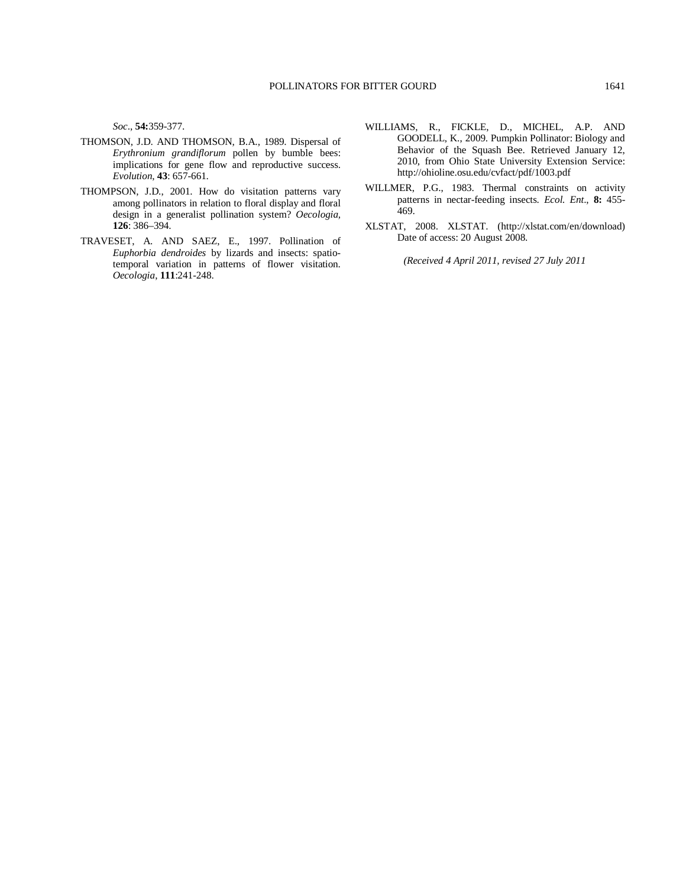*Soc*., **54:**359-377.

- THOMSON, J.D. AND THOMSON, B.A., 1989. Dispersal of *Erythronium grandiflorum* pollen by bumble bees: implications for gene flow and reproductive success. *Evolution*, **43**: 657-661.
- THOMPSON, J.D., 2001. How do visitation patterns vary among pollinators in relation to floral display and floral design in a generalist pollination system? *Oecologia,* **126**: 386–394.
- TRAVESET, A. AND SAEZ, E., 1997. Pollination of *Euphorbia dendroides* by lizards and insects: spatiotemporal variation in patterns of flower visitation. *Oecologia*, **111**:241-248.
- WILLIAMS, R., FICKLE, D., MICHEL, A.P. AND GOODELL, K., 2009. Pumpkin Pollinator: Biology and Behavior of the Squash Bee. Retrieved January 12, 2010, from Ohio State University Extension Service: http://ohioline.osu.edu/cvfact/pdf/1003.pdf
- WILLMER, P.G., 1983. Thermal constraints on activity patterns in nectar-feeding insects. *Ecol. Ent*., **8:** 455- 469.
- XLSTAT, 2008. XLSTAT. (http://xlstat.com/en/download) Date of access: 20 August 2008.

*(Received 4 April 2011, revised 27 July 2011*